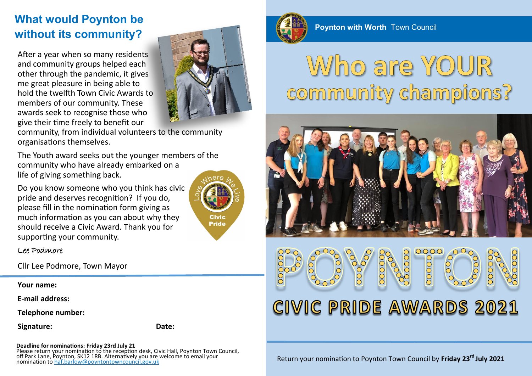## **What would Poynton be without its community?**

After a year when so many residents and community groups helped each other through the pandemic, it gives me great pleasure in being able to hold the twelfth Town Civic Awards to members of our community. These awards seek to recognise those who give their time freely to benefit our



community, from individual volunteers to the community organisations themselves.

The Youth award seeks out the younger members of the community who have already embarked on a life of giving something back.

Do you know someone who you think has civic pride and deserves recognition? If you do, please fill in the nomination form giving as much information as you can about why they should receive a Civic Award. Thank you for supporting your community.



#### Lee Podmore

Cllr Lee Podmore, Town Mayor

**Your name:**

**E-mail address:**

**Telephone number:**

**Signature: Date:**

**Deadline for nominations: Friday 23rd July 21** 

Please return your nomination to the reception desk, Civic Hall, Poynton Town Council, off Park Lane, Poynton, SK12 1RB. Alternatively you are welcome to email your nomination to haf.barlow@poyntontowncouncil.gov.uk



**Poynton with Worth** Town Council

# Who are YOUR community champions?



#### 0000 OOOOC 0000  $\frac{8}{000}$ OOOC  $\overline{O}O$ CIVIC PRIDE AWARDS 2021

Return your nomination to Poynton Town Council by **Friday 23rd July 2021**